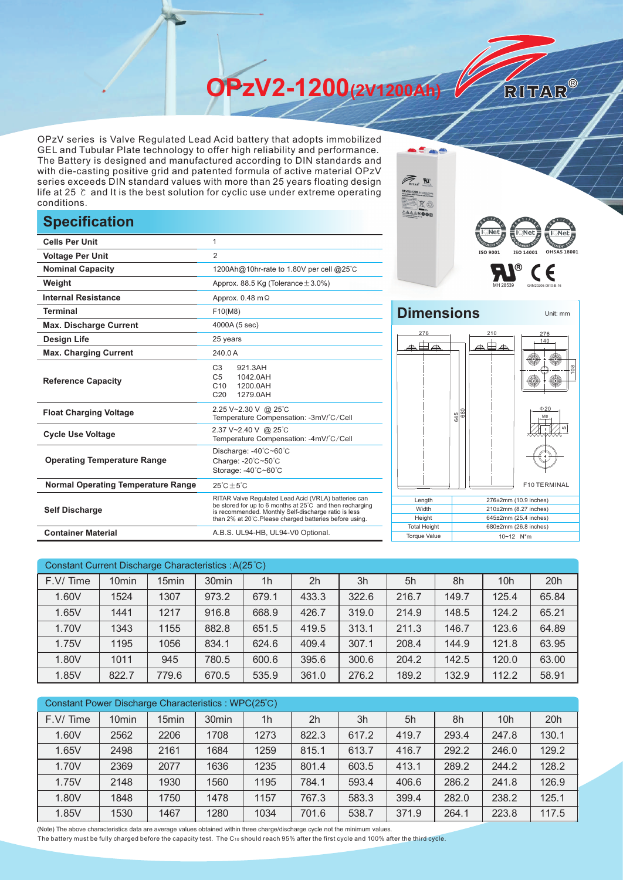**OPzV2-1200(2V1200Ah)** 

OPzV series is Valve Regulated Lead Acid battery that adopts immobilized GEL and Tubular Plate technology to offer high reliability and performance. The Battery is designed and manufactured according to DIN standards and with die-casting positive grid and patented formula of active material OPzV series exceeds DIN standard values with more than 25 years floating design life at 25 ℃ and It is the best solution for cyclic use under extreme operating conditions.

## **Specification**

|                                           |                                                                                                                                                                                                                                                                  |                                            | $\overline{E}$ is net $\overline{E}$<br><b>ELSE</b> |  |  |  |
|-------------------------------------------|------------------------------------------------------------------------------------------------------------------------------------------------------------------------------------------------------------------------------------------------------------------|--------------------------------------------|-----------------------------------------------------|--|--|--|
| <b>Cells Per Unit</b>                     |                                                                                                                                                                                                                                                                  |                                            |                                                     |  |  |  |
| <b>Voltage Per Unit</b>                   | $\overline{2}$                                                                                                                                                                                                                                                   |                                            | ISO 9001<br>ISO 140                                 |  |  |  |
| <b>Nominal Capacity</b>                   | 1200Ah@10hr-rate to 1.80V per cell @25°C                                                                                                                                                                                                                         |                                            | (R)                                                 |  |  |  |
| Weight                                    | Approx. 88.5 Kg (Tolerance $\pm$ 3.0%)                                                                                                                                                                                                                           |                                            |                                                     |  |  |  |
| <b>Internal Resistance</b>                | Approx. $0.48$ m $\Omega$                                                                                                                                                                                                                                        |                                            |                                                     |  |  |  |
| <b>Terminal</b>                           | F10(M8)                                                                                                                                                                                                                                                          | <b>Dimensions</b>                          |                                                     |  |  |  |
| <b>Max. Discharge Current</b>             | 4000A (5 sec)                                                                                                                                                                                                                                                    |                                            |                                                     |  |  |  |
| <b>Design Life</b>                        | 25 years                                                                                                                                                                                                                                                         | 276                                        | 210                                                 |  |  |  |
| <b>Max. Charging Current</b>              | 240.0 A                                                                                                                                                                                                                                                          | ▲田▲                                        | க⊞ச                                                 |  |  |  |
| <b>Reference Capacity</b>                 | C <sub>3</sub><br>921.3AH<br>C <sub>5</sub><br>1042.0AH<br>1200.0AH<br>C10<br>C <sub>20</sub><br>1279.0AH                                                                                                                                                        |                                            |                                                     |  |  |  |
| <b>Float Charging Voltage</b>             | 2.25 V~2.30 V @ 25°C<br>Temperature Compensation: -3mV/°C/Cell                                                                                                                                                                                                   |                                            | 645<br>680                                          |  |  |  |
| <b>Cycle Use Voltage</b>                  | 2.37 V~2.40 V @ 25°C<br>Temperature Compensation: -4mV/°C/Cell                                                                                                                                                                                                   |                                            |                                                     |  |  |  |
| <b>Operating Temperature Range</b>        | Discharge: -40°C~60°C<br>Charge: -20°C~50°C<br>Storage: -40°C~60°C                                                                                                                                                                                               |                                            |                                                     |  |  |  |
| <b>Normal Operating Temperature Range</b> | $25^{\circ}$ C $\pm 5^{\circ}$ C                                                                                                                                                                                                                                 |                                            | F <sub>1</sub>                                      |  |  |  |
| <b>Self Discharge</b>                     | RITAR Valve Regulated Lead Acid (VRLA) batteries can<br>Length<br>be stored for up to 6 months at 25°C and then recharging<br>Width<br>is recommended. Monthly Self-discharge ratio is less<br>Height<br>than 2% at 20°C. Please charged batteries before using. |                                            |                                                     |  |  |  |
| <b>Container Material</b>                 | A.B.S. UL94-HB, UL94-V0 Optional.                                                                                                                                                                                                                                | <b>Total Height</b><br><b>Torque Value</b> | 680±2mm (26.8 i<br>10~12 N*m                        |  |  |  |



**Contract** 

RITAR®

## **Dimensions** Unit: mm 276 210 276  $\overline{\phantom{a}}$ 140 108  $\Phi$ <sub>20</sub> 680 645 Mε 5F10 TERMINAL

| Length              | 276±2mm (10.9 inches)      |
|---------------------|----------------------------|
| Width               | $210\pm2$ mm (8.27 inches) |
| Height              | $645\pm2$ mm (25.4 inches) |
| <b>Total Height</b> | 680±2mm (26.8 inches)      |
| <b>Torque Value</b> | $10 - 12$ N <sup>*</sup> m |

| Constant Current Discharge Characteristics: A(25 °C) |                   |       |                   |                |       |       |       |       |                 |       |
|------------------------------------------------------|-------------------|-------|-------------------|----------------|-------|-------|-------|-------|-----------------|-------|
| F.V/Time                                             | 10 <sub>min</sub> | 15min | 30 <sub>min</sub> | 1 <sub>h</sub> | 2h    | 3h    | 5h    | 8h    | 10 <sub>h</sub> | 20h   |
| 1.60V                                                | 1524              | 1307  | 973.2             | 679.1          | 433.3 | 322.6 | 216.7 | 149.7 | 125.4           | 65.84 |
| 1.65V                                                | 1441              | 1217  | 916.8             | 668.9          | 426.7 | 319.0 | 214.9 | 148.5 | 124.2           | 65.21 |
| 1.70V                                                | 1343              | 1155  | 882.8             | 651.5          | 419.5 | 313.1 | 211.3 | 146.7 | 123.6           | 64.89 |
| 1.75V                                                | 1195              | 1056  | 834.1             | 624.6          | 409.4 | 307.1 | 208.4 | 144.9 | 121.8           | 63.95 |
| 1.80V                                                | 1011              | 945   | 780.5             | 600.6          | 395.6 | 300.6 | 204.2 | 142.5 | 120.0           | 63.00 |
| 1.85V                                                | 822.7             | 779.6 | 670.5             | 535.9          | 361.0 | 276.2 | 189.2 | 132.9 | 112.2           | 58.91 |

| Constant Power Discharge Characteristics: WPC(25°C) |                   |       |                   |                |                |       |       |       |                 |       |
|-----------------------------------------------------|-------------------|-------|-------------------|----------------|----------------|-------|-------|-------|-----------------|-------|
| F.V/Time                                            | 10 <sub>min</sub> | 15min | 30 <sub>min</sub> | 1 <sub>h</sub> | 2 <sub>h</sub> | 3h    | 5h    | 8h    | 10 <sub>h</sub> | 20h   |
| 1.60V                                               | 2562              | 2206  | 1708              | 1273           | 822.3          | 617.2 | 419.7 | 293.4 | 247.8           | 130.1 |
| 1.65V                                               | 2498              | 2161  | 1684              | 1259           | 815.1          | 613.7 | 416.7 | 292.2 | 246.0           | 129.2 |
| 1.70V                                               | 2369              | 2077  | 1636              | 1235           | 801.4          | 603.5 | 413.1 | 289.2 | 244.2           | 128.2 |
| 1.75V                                               | 2148              | 1930  | 1560              | 1195           | 784.1          | 593.4 | 406.6 | 286.2 | 241.8           | 126.9 |
| 1.80V                                               | 1848              | 1750  | 1478              | 1157           | 767.3          | 583.3 | 399.4 | 282.0 | 238.2           | 125.1 |
| 1.85V                                               | 1530              | 1467  | 1280              | 1034           | 701.6          | 538.7 | 371.9 | 264.1 | 223.8           | 117.5 |

(Note) The above characteristics data are average values obtained within three charge/discharge cycle not the minimum values.

The battery must be fully charged before the capacity test. The C10 should reach 95% after the first cycle and 100% after the third cycle.